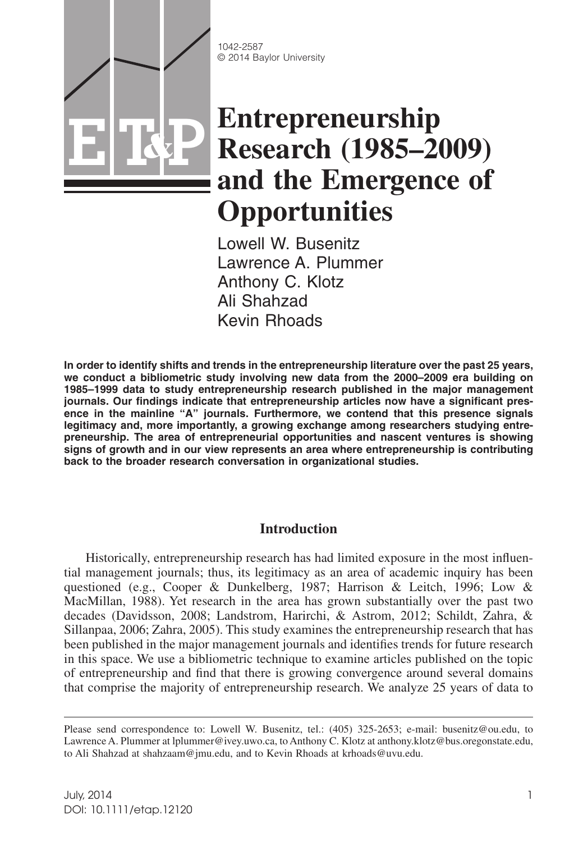1042-2587 © 2014 Baylor University



# **Entrepreneurship Research (1985–2009) and the Emergence of Opportunities**

Lowell W. Busenitz Lawrence A. Plummer Anthony C. Klotz Ali Shahzad Kevin Rhoads

**In order to identify shifts and trends in the entrepreneurship literature over the past 25 years, we conduct a bibliometric study involving new data from the 2000–2009 era building on 1985–1999 data to study entrepreneurship research published in the major management journals. Our findings indicate that entrepreneurship articles now have a significant presence in the mainline "A" journals. Furthermore, we contend that this presence signals legitimacy and, more importantly, a growing exchange among researchers studying entrepreneurship. The area of entrepreneurial opportunities and nascent ventures is showing signs of growth and in our view represents an area where entrepreneurship is contributing back to the broader research conversation in organizational studies.**

# **Introduction**

Historically, entrepreneurship research has had limited exposure in the most influential management journals; thus, its legitimacy as an area of academic inquiry has been questioned (e.g., Cooper & Dunkelberg, 1987; Harrison & Leitch, 1996; Low & MacMillan, 1988). Yet research in the area has grown substantially over the past two decades (Davidsson, 2008; Landstrom, Harirchi, & Astrom, 2012; Schildt, Zahra, & Sillanpaa, 2006; Zahra, 2005). This study examines the entrepreneurship research that has been published in the major management journals and identifies trends for future research in this space. We use a bibliometric technique to examine articles published on the topic of entrepreneurship and find that there is growing convergence around several domains that comprise the majority of entrepreneurship research. We analyze 25 years of data to

Please send correspondence to: Lowell W. Busenitz, tel.: (405) 325-2653; e-mail: busenitz@ou.edu, to Lawrence A. Plummer at lplummer@ivey.uwo.ca, to Anthony C. Klotz at anthony.klotz@bus.oregonstate.edu, to Ali Shahzad at shahzaam@jmu.edu, and to Kevin Rhoads at krhoads@uvu.edu.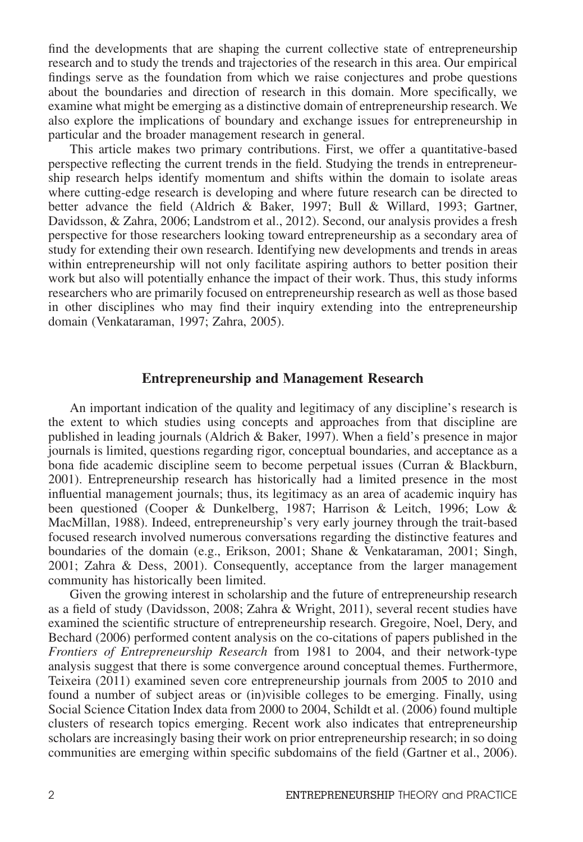find the developments that are shaping the current collective state of entrepreneurship research and to study the trends and trajectories of the research in this area. Our empirical findings serve as the foundation from which we raise conjectures and probe questions about the boundaries and direction of research in this domain. More specifically, we examine what might be emerging as a distinctive domain of entrepreneurship research. We also explore the implications of boundary and exchange issues for entrepreneurship in particular and the broader management research in general.

This article makes two primary contributions. First, we offer a quantitative-based perspective reflecting the current trends in the field. Studying the trends in entrepreneurship research helps identify momentum and shifts within the domain to isolate areas where cutting-edge research is developing and where future research can be directed to better advance the field (Aldrich & Baker, 1997; Bull & Willard, 1993; Gartner, Davidsson, & Zahra, 2006; Landstrom et al., 2012). Second, our analysis provides a fresh perspective for those researchers looking toward entrepreneurship as a secondary area of study for extending their own research. Identifying new developments and trends in areas within entrepreneurship will not only facilitate aspiring authors to better position their work but also will potentially enhance the impact of their work. Thus, this study informs researchers who are primarily focused on entrepreneurship research as well as those based in other disciplines who may find their inquiry extending into the entrepreneurship domain (Venkataraman, 1997; Zahra, 2005).

#### **Entrepreneurship and Management Research**

An important indication of the quality and legitimacy of any discipline's research is the extent to which studies using concepts and approaches from that discipline are published in leading journals (Aldrich & Baker, 1997). When a field's presence in major journals is limited, questions regarding rigor, conceptual boundaries, and acceptance as a bona fide academic discipline seem to become perpetual issues (Curran & Blackburn, 2001). Entrepreneurship research has historically had a limited presence in the most influential management journals; thus, its legitimacy as an area of academic inquiry has been questioned (Cooper & Dunkelberg, 1987; Harrison & Leitch, 1996; Low & MacMillan, 1988). Indeed, entrepreneurship's very early journey through the trait-based focused research involved numerous conversations regarding the distinctive features and boundaries of the domain (e.g., Erikson, 2001; Shane & Venkataraman, 2001; Singh, 2001; Zahra & Dess, 2001). Consequently, acceptance from the larger management community has historically been limited.

Given the growing interest in scholarship and the future of entrepreneurship research as a field of study (Davidsson, 2008; Zahra & Wright, 2011), several recent studies have examined the scientific structure of entrepreneurship research. Gregoire, Noel, Dery, and Bechard (2006) performed content analysis on the co-citations of papers published in the *Frontiers of Entrepreneurship Research* from 1981 to 2004, and their network-type analysis suggest that there is some convergence around conceptual themes. Furthermore, Teixeira (2011) examined seven core entrepreneurship journals from 2005 to 2010 and found a number of subject areas or (in)visible colleges to be emerging. Finally, using Social Science Citation Index data from 2000 to 2004, Schildt et al. (2006) found multiple clusters of research topics emerging. Recent work also indicates that entrepreneurship scholars are increasingly basing their work on prior entrepreneurship research; in so doing communities are emerging within specific subdomains of the field (Gartner et al., 2006).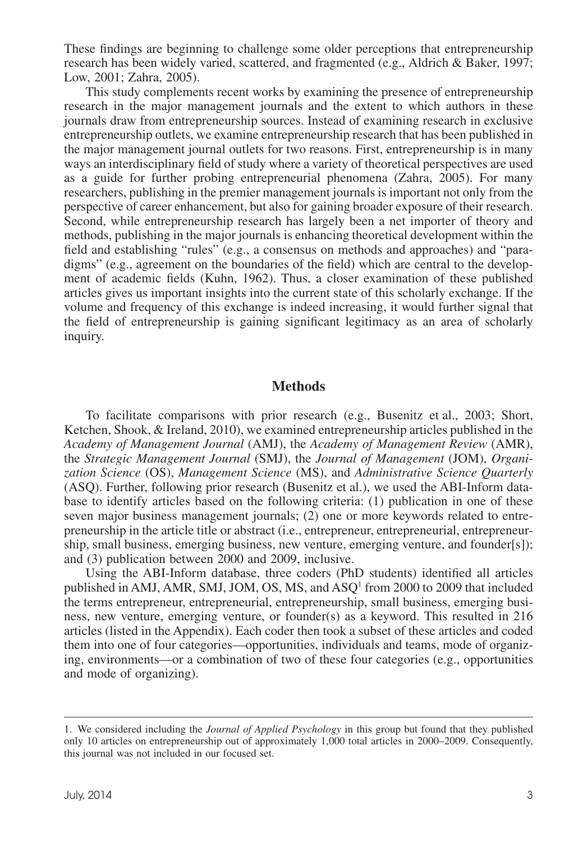These findings are beginning to challenge some older perceptions that entrepreneurship research has been widely varied, scattered, and fragmented (e.g., Aldrich & Baker, 1997; Low, 2001; Zahra, 2005).

This study complements recent works by examining the presence of entrepreneurship research in the major management journals and the extent to which authors in these journals draw from entrepreneurship sources. Instead of examining research in exclusive entrepreneurship outlets, we examine entrepreneurship research that has been published in the major management journal outlets for two reasons. First, entrepreneurship is in many ways an interdisciplinary field of study where a variety of theoretical perspectives are used as a guide for further probing entrepreneurial phenomena (Zahra, 2005). For many researchers, publishing in the premier management journals is important not only from the perspective of career enhancement, but also for gaining broader exposure of their research. Second, while entrepreneurship research has largely been a net importer of theory and methods, publishing in the major journals is enhancing theoretical development within the field and establishing "rules" (e.g., a consensus on methods and approaches) and "paradigms" (e.g., agreement on the boundaries of the field) which are central to the development of academic fields (Kuhn, 1962). Thus, a closer examination of these published articles gives us important insights into the current state of this scholarly exchange. If the volume and frequency of this exchange is indeed increasing, it would further signal that the field of entrepreneurship is gaining significant legitimacy as an area of scholarly inquiry.

#### **Methods**

To facilitate comparisons with prior research (e.g., Busenitz et al., 2003; Short, Ketchen, Shook, & Ireland, 2010), we examined entrepreneurship articles published in the *Academy of Management Journal* (AMJ), the *Academy of Management Review* (AMR), the *Strategic Management Journal* (SMJ), the *Journal of Management* (JOM), *Organization Science* (OS), *Management Science* (MS), and *Administrative Science Quarterly* (ASQ). Further, following prior research (Busenitz et al.), we used the ABI-Inform database to identify articles based on the following criteria: (1) publication in one of these seven major business management journals; (2) one or more keywords related to entrepreneurship in the article title or abstract (i.e., entrepreneur, entrepreneurial, entrepreneurship, small business, emerging business, new venture, emerging venture, and founder[s]); and (3) publication between 2000 and 2009, inclusive.

Using the ABI-Inform database, three coders (PhD students) identified all articles published in AMJ, AMR, SMJ, JOM, OS, MS, and  $ASQ<sup>1</sup>$  from 2000 to 2009 that included the terms entrepreneur, entrepreneurial, entrepreneurship, small business, emerging business, new venture, emerging venture, or founder(s) as a keyword. This resulted in 216 articles (listed in the Appendix). Each coder then took a subset of these articles and coded them into one of four categories—opportunities, individuals and teams, mode of organizing, environments—or a combination of two of these four categories (e.g., opportunities and mode of organizing).

<sup>1.</sup> We considered including the *Journal of Applied Psychology* in this group but found that they published only 10 articles on entrepreneurship out of approximately 1,000 total articles in 2000–2009. Consequently, this journal was not included in our focused set.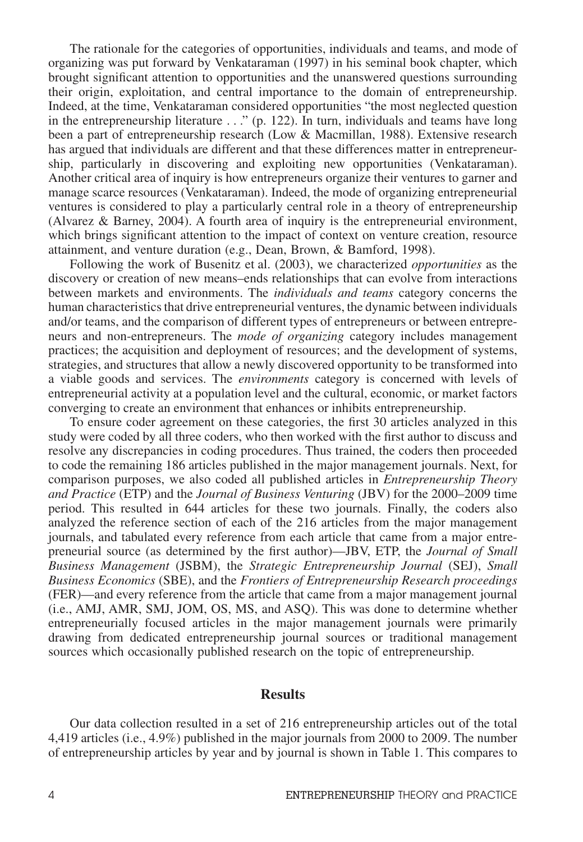The rationale for the categories of opportunities, individuals and teams, and mode of organizing was put forward by Venkataraman (1997) in his seminal book chapter, which brought significant attention to opportunities and the unanswered questions surrounding their origin, exploitation, and central importance to the domain of entrepreneurship. Indeed, at the time, Venkataraman considered opportunities "the most neglected question in the entrepreneurship literature . . ." (p. 122). In turn, individuals and teams have long been a part of entrepreneurship research (Low & Macmillan, 1988). Extensive research has argued that individuals are different and that these differences matter in entrepreneurship, particularly in discovering and exploiting new opportunities (Venkataraman). Another critical area of inquiry is how entrepreneurs organize their ventures to garner and manage scarce resources (Venkataraman). Indeed, the mode of organizing entrepreneurial ventures is considered to play a particularly central role in a theory of entrepreneurship (Alvarez & Barney, 2004). A fourth area of inquiry is the entrepreneurial environment, which brings significant attention to the impact of context on venture creation, resource attainment, and venture duration (e.g., Dean, Brown, & Bamford, 1998).

Following the work of Busenitz et al. (2003), we characterized *opportunities* as the discovery or creation of new means–ends relationships that can evolve from interactions between markets and environments. The *individuals and teams* category concerns the human characteristics that drive entrepreneurial ventures, the dynamic between individuals and/or teams, and the comparison of different types of entrepreneurs or between entrepreneurs and non-entrepreneurs. The *mode of organizing* category includes management practices; the acquisition and deployment of resources; and the development of systems, strategies, and structures that allow a newly discovered opportunity to be transformed into a viable goods and services. The *environments* category is concerned with levels of entrepreneurial activity at a population level and the cultural, economic, or market factors converging to create an environment that enhances or inhibits entrepreneurship.

To ensure coder agreement on these categories, the first 30 articles analyzed in this study were coded by all three coders, who then worked with the first author to discuss and resolve any discrepancies in coding procedures. Thus trained, the coders then proceeded to code the remaining 186 articles published in the major management journals. Next, for comparison purposes, we also coded all published articles in *Entrepreneurship Theory and Practice* (ETP) and the *Journal of Business Venturing* (JBV) for the 2000–2009 time period. This resulted in 644 articles for these two journals. Finally, the coders also analyzed the reference section of each of the 216 articles from the major management journals, and tabulated every reference from each article that came from a major entrepreneurial source (as determined by the first author)—JBV, ETP, the *Journal of Small Business Management* (JSBM), the *Strategic Entrepreneurship Journal* (SEJ), *Small Business Economics* (SBE), and the *Frontiers of Entrepreneurship Research proceedings* (FER)—and every reference from the article that came from a major management journal (i.e., AMJ, AMR, SMJ, JOM, OS, MS, and ASQ). This was done to determine whether entrepreneurially focused articles in the major management journals were primarily drawing from dedicated entrepreneurship journal sources or traditional management sources which occasionally published research on the topic of entrepreneurship.

#### **Results**

Our data collection resulted in a set of 216 entrepreneurship articles out of the total 4,419 articles (i.e., 4.9%) published in the major journals from 2000 to 2009. The number of entrepreneurship articles by year and by journal is shown in Table 1. This compares to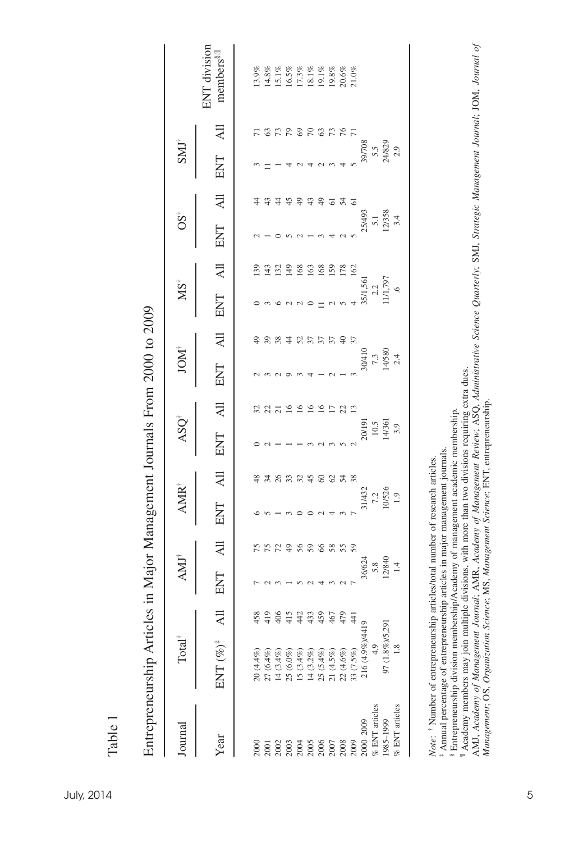| Entrepreneurship Articles in Major Management Journals From 2000 to 2009 |                    |                |                 |             |                         |            |                        |              |                          |     |                             |                  |                                |                |                                |   |                                                                                                             |
|--------------------------------------------------------------------------|--------------------|----------------|-----------------|-------------|-------------------------|------------|------------------------|--------------|--------------------------|-----|-----------------------------|------------------|--------------------------------|----------------|--------------------------------|---|-------------------------------------------------------------------------------------------------------------|
| Journal                                                                  | Total <sup>†</sup> |                | AMJ             |             | <b>AMR</b> <sup>*</sup> |            | <b>ASQ<sup>†</sup></b> |              | $\mathbf{JOM}^{\dagger}$ |     | $MS^{\dagger}$              |                  | $OS^{\dagger}$                 |                | $\text{SMI}^\dagger$           |   |                                                                                                             |
| Year                                                                     | ENT $(\%)^*$ All   |                | <b>ENT</b>      | ΚŃ          | ENT                     | Ξ          | ENT                    | ΚŊ           | ENT                      | All | <b>ENT</b>                  | All              | ENT                            | ΚŃ             | ENT                            | ₹ | ENT division<br>members <sup>§,¶</sup>                                                                      |
| 2000                                                                     | $20(4.4\%)$        |                |                 |             |                         |            |                        |              |                          |     |                             |                  |                                |                |                                |   |                                                                                                             |
| 2001                                                                     | 27 (6.4%)          | 419            |                 |             |                         |            |                        |              |                          |     |                             | $\pm$            |                                |                |                                |   | $\begin{array}{l} 13.9\% \\ 14.8\% \\ 15.1\% \\ 16.5\% \\ 17.3\% \\ 19.1\% \\ 20.6\% \\ 21.0\% \end{array}$ |
| 2002                                                                     | $14(3.4\%)$        | 406            |                 |             |                         | ಸ ನಿ ಐ ಜ ಕ |                        |              |                          |     |                             | 132              |                                |                |                                |   |                                                                                                             |
| 2003                                                                     | 25 (6.0%)          | 415            |                 | Ş,          |                         |            |                        |              |                          |     |                             | $\frac{149}{2}$  |                                |                |                                |   |                                                                                                             |
| 2004                                                                     | $15(3.4\%)$        | 42             |                 |             |                         |            |                        |              |                          |     |                             | 168              |                                | ₽              |                                |   |                                                                                                             |
| 2005                                                                     | $14(3.2\%)$        | 433            |                 |             |                         |            |                        |              |                          |     |                             | $\mathbb{S}$     |                                | ₩              |                                |   |                                                                                                             |
| 2006                                                                     | $25(5.4\%)$        | 459            |                 |             |                         | 8          |                        |              |                          |     |                             | 168              |                                | 9              |                                |   |                                                                                                             |
| 2007                                                                     | $21(4.5\%)$        | 467            |                 | cococo coco |                         | 848        |                        |              |                          |     |                             | 159              |                                | $\overline{6}$ |                                |   |                                                                                                             |
| 2008                                                                     | 22 (4.6%)          | 479            |                 |             |                         |            |                        | ದ            |                          |     |                             | 178              |                                | $\frac{1}{4}$  |                                |   |                                                                                                             |
| 2009                                                                     | 33 (7.5%)          | $\overline{4}$ |                 |             |                         |            |                        | $\mathbf{r}$ |                          |     |                             | $\overline{162}$ |                                |                |                                |   |                                                                                                             |
| 2000-2009                                                                | 216 (4.9%)/4419    |                | 36/624          |             | 31/432                  |            | 20/191                 |              |                          |     |                             |                  |                                |                |                                |   |                                                                                                             |
| % ENT articles                                                           | 4.9                |                | 5.8             |             | 7.2                     |            | $10.5\,$               |              |                          |     |                             |                  |                                |                |                                |   |                                                                                                             |
| 1985-1999                                                                | 97 (1.8%)/5,291    |                | 12/840          |             | 10/526                  |            | 14/361                 |              | 30/410<br>7.3<br>14/580  |     | 35/1,561<br>2.2<br>11/1,797 |                  | 25/493<br>5.1<br>12/358<br>3.4 |                | 39/708<br>5.5<br>24/829<br>2.9 |   |                                                                                                             |
| $\%$ ENT articles                                                        | $\frac{8}{1}$      |                | $\overline{14}$ |             | 1.9                     |            | 3.9                    |              | 2.4                      |     | $\circ$                     |                  |                                |                |                                |   |                                                                                                             |
|                                                                          |                    |                |                 |             |                         |            |                        |              |                          |     |                             |                  |                                |                |                                |   |                                                                                                             |

*Note*: † Number of entrepreneurship articles/total number of research articles. *Note:*  $^{\dagger}$  Number of entrepreneurship articles/total number of research articles.<br> $^{\dagger}$  Annual percentage of entrepreneurship articles in major management journals. Annual percentage of entrepreneurship articles in major management journals.

<sup>8</sup> Entrepreneurship division membership/Academy of management academic membership. Entrepreneurship division membership/Academy of management academic membership.

¶ Academy members may join multiple divisions, with more than two divisions requiring extra dues.

" Academy members may join multiple divisions, with more than two divisions requiring extra dues.<br>AMJ, Academy of Management Journal; AMR. Academy of Management Review; ASQ. Administrative Science Quarterly; SMJ, Strategic AMI, Academy of Management Journal; AMR, Academy of Management Review; ASQ, Administrative Science Quarterly; SMI, Strategic Management Journal, JOM, Journal of *Management*; OS, *Organization Science*; MS, *Management Science*; ENT, entrepreneurship.

Table 1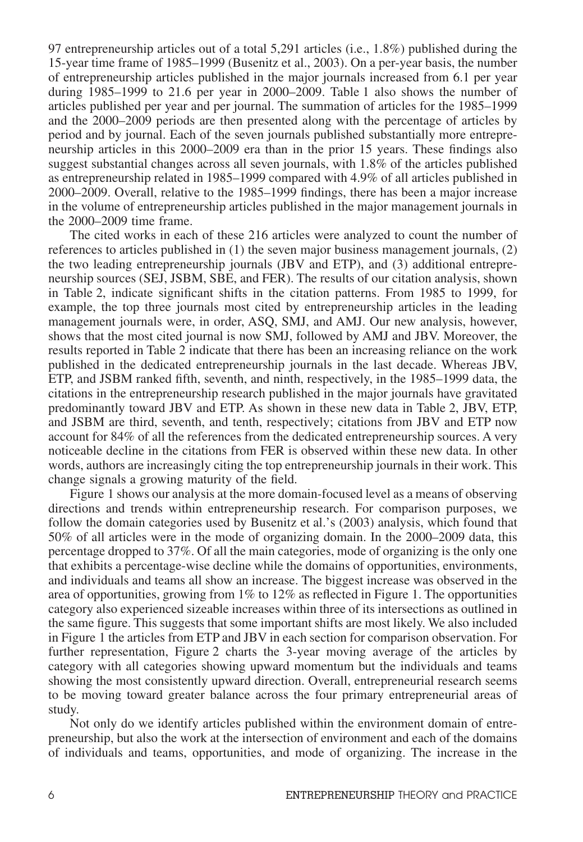97 entrepreneurship articles out of a total 5,291 articles (i.e., 1.8%) published during the 15-year time frame of 1985–1999 (Busenitz et al., 2003). On a per-year basis, the number of entrepreneurship articles published in the major journals increased from 6.1 per year during 1985–1999 to 21.6 per year in 2000–2009. Table 1 also shows the number of articles published per year and per journal. The summation of articles for the 1985–1999 and the 2000–2009 periods are then presented along with the percentage of articles by period and by journal. Each of the seven journals published substantially more entrepreneurship articles in this 2000–2009 era than in the prior 15 years. These findings also suggest substantial changes across all seven journals, with 1.8% of the articles published as entrepreneurship related in 1985–1999 compared with 4.9% of all articles published in 2000–2009. Overall, relative to the 1985–1999 findings, there has been a major increase in the volume of entrepreneurship articles published in the major management journals in the 2000–2009 time frame.

The cited works in each of these 216 articles were analyzed to count the number of references to articles published in (1) the seven major business management journals, (2) the two leading entrepreneurship journals (JBV and ETP), and (3) additional entrepreneurship sources (SEJ, JSBM, SBE, and FER). The results of our citation analysis, shown in Table 2, indicate significant shifts in the citation patterns. From 1985 to 1999, for example, the top three journals most cited by entrepreneurship articles in the leading management journals were, in order, ASQ, SMJ, and AMJ. Our new analysis, however, shows that the most cited journal is now SMJ, followed by AMJ and JBV. Moreover, the results reported in Table 2 indicate that there has been an increasing reliance on the work published in the dedicated entrepreneurship journals in the last decade. Whereas JBV, ETP, and JSBM ranked fifth, seventh, and ninth, respectively, in the 1985–1999 data, the citations in the entrepreneurship research published in the major journals have gravitated predominantly toward JBV and ETP. As shown in these new data in Table 2, JBV, ETP, and JSBM are third, seventh, and tenth, respectively; citations from JBV and ETP now account for 84% of all the references from the dedicated entrepreneurship sources. A very noticeable decline in the citations from FER is observed within these new data. In other words, authors are increasingly citing the top entrepreneurship journals in their work. This change signals a growing maturity of the field.

Figure 1 shows our analysis at the more domain-focused level as a means of observing directions and trends within entrepreneurship research. For comparison purposes, we follow the domain categories used by Busenitz et al.'s (2003) analysis, which found that 50% of all articles were in the mode of organizing domain. In the 2000–2009 data, this percentage dropped to 37%. Of all the main categories, mode of organizing is the only one that exhibits a percentage-wise decline while the domains of opportunities, environments, and individuals and teams all show an increase. The biggest increase was observed in the area of opportunities, growing from 1% to 12% as reflected in Figure 1. The opportunities category also experienced sizeable increases within three of its intersections as outlined in the same figure. This suggests that some important shifts are most likely. We also included in Figure 1 the articles from ETP and JBV in each section for comparison observation. For further representation, Figure 2 charts the 3-year moving average of the articles by category with all categories showing upward momentum but the individuals and teams showing the most consistently upward direction. Overall, entrepreneurial research seems to be moving toward greater balance across the four primary entrepreneurial areas of study.

Not only do we identify articles published within the environment domain of entrepreneurship, but also the work at the intersection of environment and each of the domains of individuals and teams, opportunities, and mode of organizing. The increase in the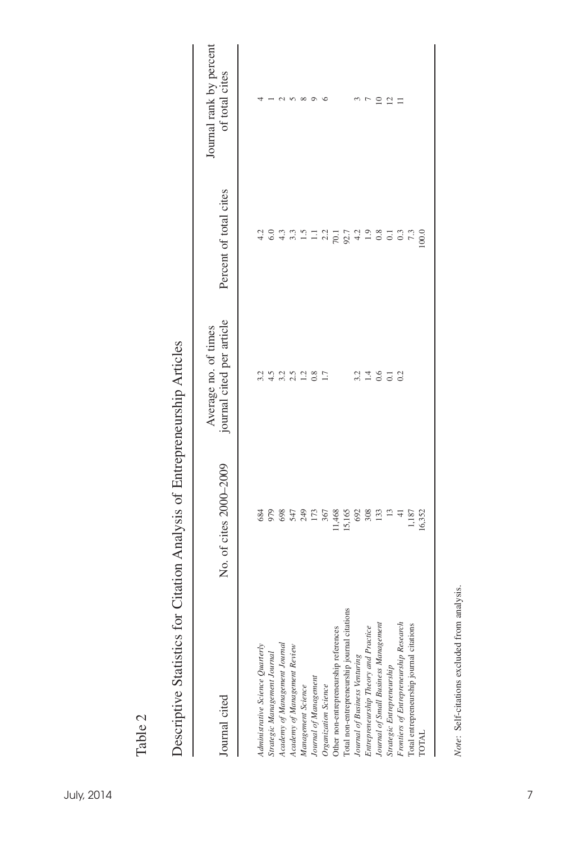Table 2

| $\frac{1}{1}$                                                 |
|---------------------------------------------------------------|
| $\sim$<br>ł<br>í<br>i<br>1<br>1<br>1<br>1<br>1<br>י<br>נ<br>ļ |
| Ţ                                                             |
| $\sim$ $\sim$ $\sim$ $\sim$ $\sim$ $\sim$ $\sim$              |
| i                                                             |
| i<br>f                                                        |
|                                                               |
| l                                                             |
| ļ                                                             |

| Journal cited                                                                                                                                                                                                                                                                                                                                                                                                                                                                                                                                            | No. of cites 2000-2009                                                          | journal cited per article<br>Average no. of times                                                   | Percent of total cites                                                                                        | Journal rank by percent<br>of total cites |
|----------------------------------------------------------------------------------------------------------------------------------------------------------------------------------------------------------------------------------------------------------------------------------------------------------------------------------------------------------------------------------------------------------------------------------------------------------------------------------------------------------------------------------------------------------|---------------------------------------------------------------------------------|-----------------------------------------------------------------------------------------------------|---------------------------------------------------------------------------------------------------------------|-------------------------------------------|
| Total non-entrepreneurship journal citations<br>Frontiers of Entrepreneurship Research<br>Journal of Small Business Management<br>Total entrepreneurship journal citations<br>Entrepreneurship Theory and Practice<br>Other non-entrepreneurship references<br>Administrative Science Quarterly<br>Academy of Management Journal<br>Academy of Management Review<br>Strategic Management Journal<br>Journal of Business Venturing<br>Strategic Entrepreneurship<br>Journal of Management<br>Management Science<br>Organization Science<br><b>LATOTAL</b> | <u>중</u> 중종 정<br>1,468<br>15,165<br>308<br>16,352<br>173<br>692<br>133<br>1.187 | 3.2<br>0.6<br>0.2<br>2.5<br>$\Xi$<br>0.8<br>$\overline{1.7}$<br>$\overline{14}$<br>$\overline{0}$ . | 70.1<br>92.7<br>4.2<br>$\frac{2}{3}$<br>$\frac{1.9}{0.8}$<br>$\frac{3}{2}$<br>$\frac{0}{2}$<br>$\ddot{\circ}$ |                                           |
|                                                                                                                                                                                                                                                                                                                                                                                                                                                                                                                                                          |                                                                                 |                                                                                                     |                                                                                                               |                                           |

Note: Self-citations excluded from analysis. *Note*: Self-citations excluded from analysis.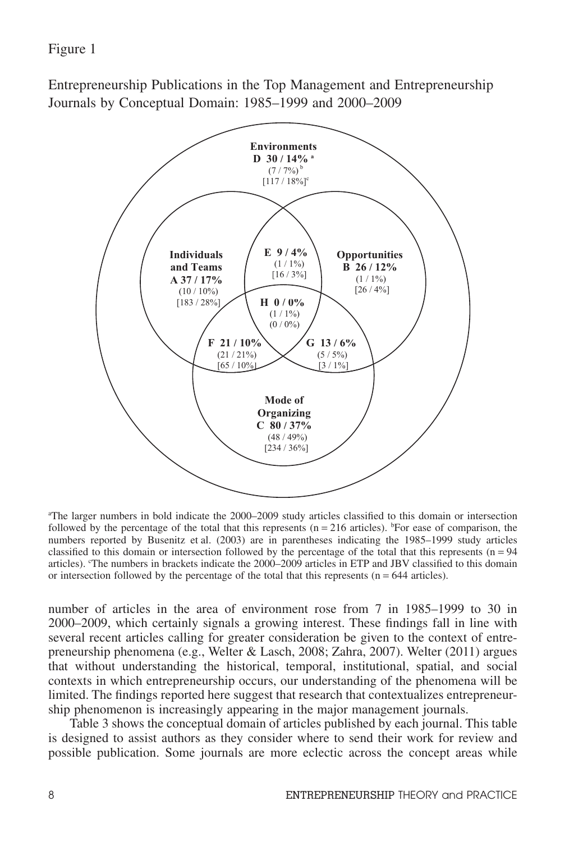Figure 1

Entrepreneurship Publications in the Top Management and Entrepreneurship Journals by Conceptual Domain: 1985–1999 and 2000–2009



a The larger numbers in bold indicate the 2000–2009 study articles classified to this domain or intersection followed by the percentage of the total that this represents  $(n = 216 \text{ articles})$ . For ease of comparison, the numbers reported by Busenitz et al. (2003) are in parentheses indicating the 1985–1999 study articles classified to this domain or intersection followed by the percentage of the total that this represents ( $n = 94$ ) articles). The numbers in brackets indicate the 2000–2009 articles in ETP and JBV classified to this domain or intersection followed by the percentage of the total that this represents ( $n = 644$  articles).

number of articles in the area of environment rose from 7 in 1985–1999 to 30 in 2000–2009, which certainly signals a growing interest. These findings fall in line with several recent articles calling for greater consideration be given to the context of entrepreneurship phenomena (e.g., Welter & Lasch, 2008; Zahra, 2007). Welter (2011) argues that without understanding the historical, temporal, institutional, spatial, and social contexts in which entrepreneurship occurs, our understanding of the phenomena will be limited. The findings reported here suggest that research that contextualizes entrepreneurship phenomenon is increasingly appearing in the major management journals.

Table 3 shows the conceptual domain of articles published by each journal. This table is designed to assist authors as they consider where to send their work for review and possible publication. Some journals are more eclectic across the concept areas while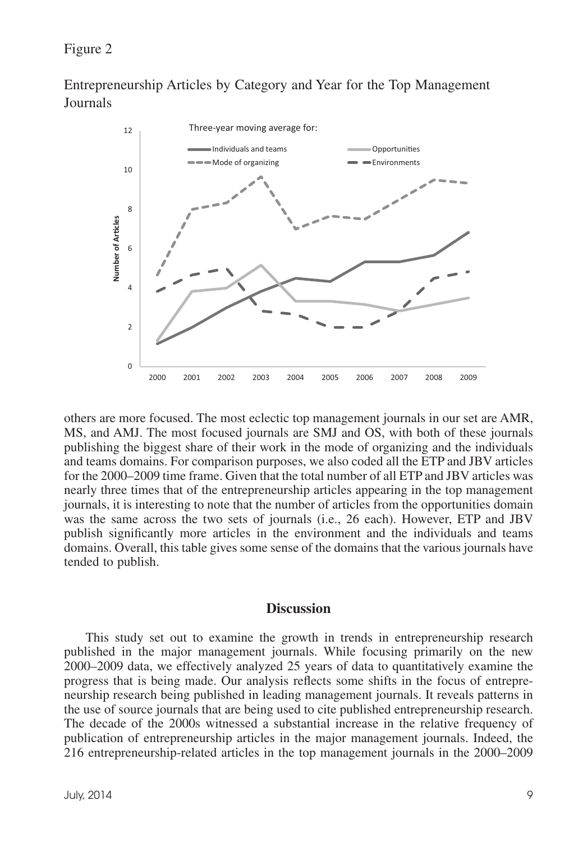Entrepreneurship Articles by Category and Year for the Top Management **Journals** 



others are more focused. The most eclectic top management journals in our set are AMR, MS, and AMJ. The most focused journals are SMJ and OS, with both of these journals publishing the biggest share of their work in the mode of organizing and the individuals and teams domains. For comparison purposes, we also coded all the ETP and JBV articles for the 2000–2009 time frame. Given that the total number of all ETP and JBV articles was nearly three times that of the entrepreneurship articles appearing in the top management journals, it is interesting to note that the number of articles from the opportunities domain was the same across the two sets of journals (i.e., 26 each). However, ETP and JBV publish significantly more articles in the environment and the individuals and teams domains. Overall, this table gives some sense of the domains that the various journals have tended to publish.

#### **Discussion**

This study set out to examine the growth in trends in entrepreneurship research published in the major management journals. While focusing primarily on the new 2000–2009 data, we effectively analyzed 25 years of data to quantitatively examine the progress that is being made. Our analysis reflects some shifts in the focus of entrepreneurship research being published in leading management journals. It reveals patterns in the use of source journals that are being used to cite published entrepreneurship research. The decade of the 2000s witnessed a substantial increase in the relative frequency of publication of entrepreneurship articles in the major management journals. Indeed, the 216 entrepreneurship-related articles in the top management journals in the 2000–2009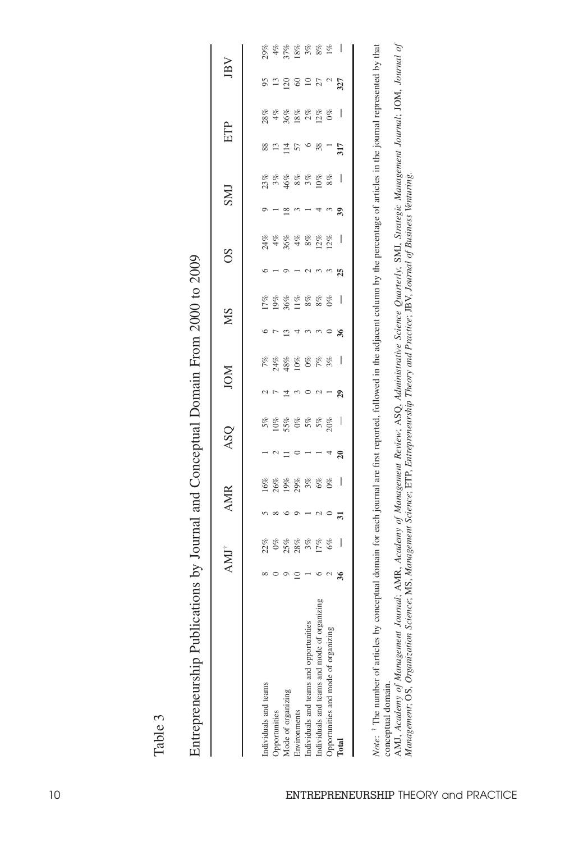| d. |
|----|
| ٦  |
| Ξ  |

| $\overline{\phantom{a}}$<br>;<br>?<br>$\ddot{\phantom{0}}$ |
|------------------------------------------------------------|
|                                                            |
| $\frac{1}{2}$<br>)<br>I                                    |
| MONT UND<br>ļ                                              |
|                                                            |
| $\tilde{\zeta}$<br>$\mathfrak{c}$                          |
| 4                                                          |
| Ì                                                          |
| )<br>}<br>}                                                |
| $\frac{5}{2}$<br>Í                                         |
|                                                            |
| supportant in the leading on the supportant<br>į           |
| $\overline{\phantom{a}}$                                   |
| l                                                          |
| l<br>į<br>ļ                                                |

|                                              | $\mathbf{A}\mathbf{M}\mathbf{J}^{\dagger}$ |                   | <b>AMR</b>             |                                                    | ASQ |                                                        | <b>NOI</b>                           |                                            | SM                       |                   | $\overline{S}$ |             | ENS                                 | ÊTP              |                                                               | JBV                           |                                           |
|----------------------------------------------|--------------------------------------------|-------------------|------------------------|----------------------------------------------------|-----|--------------------------------------------------------|--------------------------------------|--------------------------------------------|--------------------------|-------------------|----------------|-------------|-------------------------------------|------------------|---------------------------------------------------------------|-------------------------------|-------------------------------------------|
|                                              |                                            |                   |                        |                                                    |     |                                                        |                                      |                                            |                          |                   |                |             |                                     |                  |                                                               |                               |                                           |
| Individuals and teams                        |                                            |                   |                        |                                                    |     |                                                        |                                      |                                            |                          | 6                 |                |             |                                     |                  |                                                               |                               |                                           |
| Opportunities                                |                                            |                   |                        |                                                    |     |                                                        |                                      |                                            |                          |                   |                |             |                                     |                  |                                                               |                               |                                           |
| Mode of organizing                           | 228888888888                               | $\circ$           | 16%<br>26% % % % % % % | $ \circ$ $\frac{1}{2}$ $\circ$ $  +$ $\frac{1}{2}$ |     | $\alpha \cap \exists \omega \circ \alpha - \mathbf{S}$ | 8 8 8 8 8 8 8 8<br>8 9 8 9 8 8 7 9 9 | $\circ$ r m $\sigma$ m $\circ$ m $\circ$ m | 22222222122              |                   | *********      | $250 - 408$ | 22 32 32 32 33<br>23 34 35 36 36 37 | $80117$ $-80417$ | 8<br>8<br>8<br>8<br>8<br>8<br>8<br>8<br>8<br>8<br>8<br>8<br>8 | ង កន្ទ ខ ទ ង <sub>ស</sub> ង្គ | 8<br>8 8 8 8 8 8 8 1<br>8 9 8 8 8 8 8 8 1 |
| Environments                                 |                                            | $\circ$           |                        |                                                    |     |                                                        |                                      |                                            |                          |                   |                |             |                                     |                  |                                                               |                               |                                           |
| individuals and teams and opportunities      |                                            |                   |                        |                                                    |     |                                                        |                                      |                                            |                          |                   |                |             |                                     |                  |                                                               |                               |                                           |
| Individuals and teams and mode of organizing |                                            |                   |                        |                                                    |     |                                                        |                                      |                                            |                          |                   |                |             |                                     |                  |                                                               |                               |                                           |
| Opportunities and mode of organizing         |                                            | $-00\overline{g}$ |                        |                                                    |     |                                                        |                                      |                                            |                          | ຕຕ $\frac{1}{25}$ |                |             |                                     |                  |                                                               |                               |                                           |
| <b>lotal</b>                                 | $\overline{\phantom{a}}$                   |                   |                        |                                                    |     |                                                        |                                      |                                            | $\overline{\phantom{a}}$ |                   |                |             | $\overline{\phantom{a}}$            |                  | $\overline{\phantom{a}}$                                      |                               |                                           |
|                                              |                                            |                   |                        |                                                    |     |                                                        |                                      |                                            |                          |                   |                |             |                                     |                  |                                                               |                               |                                           |
|                                              |                                            |                   |                        |                                                    |     |                                                        |                                      |                                            |                          |                   |                |             |                                     |                  |                                                               |                               |                                           |

Note: <sup>†</sup> The number of articles by conceptual domain for each journal are first reported, followed in the adjacent column by the percentage of articles in the journal represented by that *Note*: <sup>†</sup> The number of articles by conceptual domain for each journal are first reported, followed in the adjacent column by the percentage of articles in the journal represented by that conceptual domain.

conceptual domain.<br>AMJ, Academy of Management Journal; AMR, Academy of Management Review; ASQ, Administrative Science Quarterly; SMJ, Strategic Management Journal; JOM, Journal of<br>Management; OS, Organization Science; MS, AMI, Academy of Management Journal; AMR, Academy of Management Review; ASQ, Administrative Science Quarterly; SMJ, Strategic Management Journal; JOM, Journal of Management; OS, Organization Science; MS, Management Science; ETP, Entrepreneurship Theory and Practice; JBV, Journal of Business Venturing,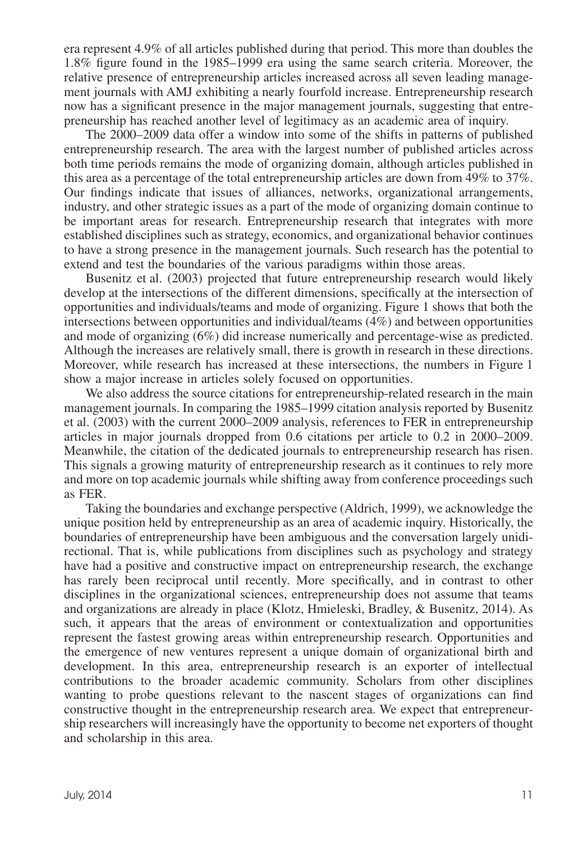era represent 4.9% of all articles published during that period. This more than doubles the 1.8% figure found in the 1985–1999 era using the same search criteria. Moreover, the relative presence of entrepreneurship articles increased across all seven leading management journals with AMJ exhibiting a nearly fourfold increase. Entrepreneurship research now has a significant presence in the major management journals, suggesting that entrepreneurship has reached another level of legitimacy as an academic area of inquiry.

The 2000–2009 data offer a window into some of the shifts in patterns of published entrepreneurship research. The area with the largest number of published articles across both time periods remains the mode of organizing domain, although articles published in this area as a percentage of the total entrepreneurship articles are down from 49% to 37%. Our findings indicate that issues of alliances, networks, organizational arrangements, industry, and other strategic issues as a part of the mode of organizing domain continue to be important areas for research. Entrepreneurship research that integrates with more established disciplines such as strategy, economics, and organizational behavior continues to have a strong presence in the management journals. Such research has the potential to extend and test the boundaries of the various paradigms within those areas.

Busenitz et al. (2003) projected that future entrepreneurship research would likely develop at the intersections of the different dimensions, specifically at the intersection of opportunities and individuals/teams and mode of organizing. Figure 1 shows that both the intersections between opportunities and individual/teams (4%) and between opportunities and mode of organizing (6%) did increase numerically and percentage-wise as predicted. Although the increases are relatively small, there is growth in research in these directions. Moreover, while research has increased at these intersections, the numbers in Figure 1 show a major increase in articles solely focused on opportunities.

We also address the source citations for entrepreneurship-related research in the main management journals. In comparing the 1985–1999 citation analysis reported by Busenitz et al. (2003) with the current 2000–2009 analysis, references to FER in entrepreneurship articles in major journals dropped from 0.6 citations per article to 0.2 in 2000–2009. Meanwhile, the citation of the dedicated journals to entrepreneurship research has risen. This signals a growing maturity of entrepreneurship research as it continues to rely more and more on top academic journals while shifting away from conference proceedings such as FER.

Taking the boundaries and exchange perspective (Aldrich, 1999), we acknowledge the unique position held by entrepreneurship as an area of academic inquiry. Historically, the boundaries of entrepreneurship have been ambiguous and the conversation largely unidirectional. That is, while publications from disciplines such as psychology and strategy have had a positive and constructive impact on entrepreneurship research, the exchange has rarely been reciprocal until recently. More specifically, and in contrast to other disciplines in the organizational sciences, entrepreneurship does not assume that teams and organizations are already in place (Klotz, Hmieleski, Bradley, & Busenitz, 2014). As such, it appears that the areas of environment or contextualization and opportunities represent the fastest growing areas within entrepreneurship research. Opportunities and the emergence of new ventures represent a unique domain of organizational birth and development. In this area, entrepreneurship research is an exporter of intellectual contributions to the broader academic community. Scholars from other disciplines wanting to probe questions relevant to the nascent stages of organizations can find constructive thought in the entrepreneurship research area. We expect that entrepreneurship researchers will increasingly have the opportunity to become net exporters of thought and scholarship in this area.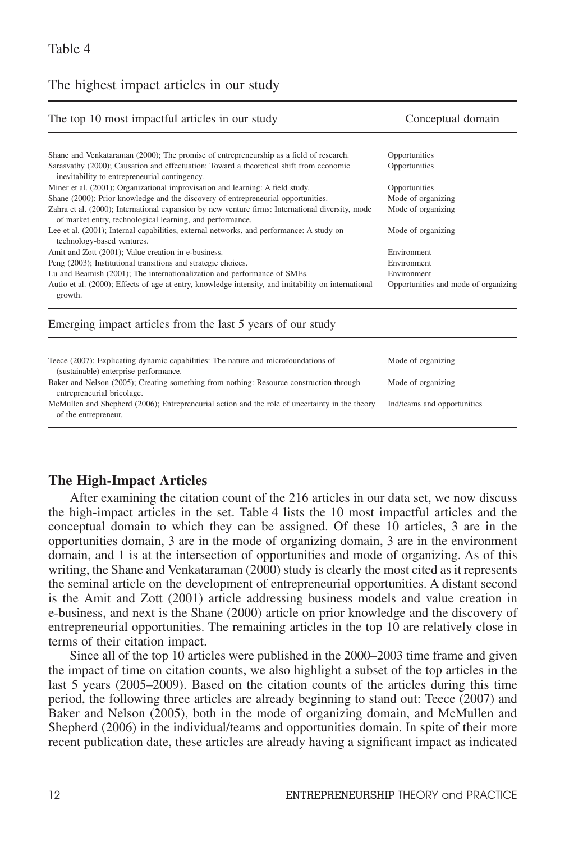# Table 4

## The highest impact articles in our study

| The top 10 most impactful articles in our study                                                                                                               | Conceptual domain                    |
|---------------------------------------------------------------------------------------------------------------------------------------------------------------|--------------------------------------|
| Shane and Venkataraman (2000); The promise of entrepreneurship as a field of research.                                                                        | Opportunities                        |
| Sarasvathy (2000); Causation and effectuation: Toward a theoretical shift from economic<br>inevitability to entrepreneurial contingency.                      | Opportunities                        |
| Miner et al. (2001); Organizational improvisation and learning: A field study.                                                                                | Opportunities                        |
| Shane (2000); Prior knowledge and the discovery of entrepreneurial opportunities.                                                                             | Mode of organizing                   |
| Zahra et al. (2000); International expansion by new venture firms: International diversity, mode<br>of market entry, technological learning, and performance. | Mode of organizing                   |
| Lee et al. (2001); Internal capabilities, external networks, and performance: A study on<br>technology-based ventures.                                        | Mode of organizing                   |
| Amit and Zott (2001); Value creation in e-business.                                                                                                           | Environment                          |
| Peng (2003); Institutional transitions and strategic choices.                                                                                                 | Environment                          |
| Lu and Beamish (2001); The internationalization and performance of SMEs.                                                                                      | Environment                          |
| Autio et al. (2000); Effects of age at entry, knowledge intensity, and imitability on international<br>growth.                                                | Opportunities and mode of organizing |

| Teece (2007); Explicating dynamic capabilities: The nature and microfoundations of<br>(sustainable) enterprise performance.  | Mode of organizing          |
|------------------------------------------------------------------------------------------------------------------------------|-----------------------------|
| Baker and Nelson (2005); Creating something from nothing: Resource construction through                                      | Mode of organizing          |
| entrepreneurial bricolage.<br>McMullen and Shepherd (2006); Entrepreneurial action and the role of uncertainty in the theory | Ind/teams and opportunities |
| of the entrepreneur.                                                                                                         |                             |

# **The High-Impact Articles**

After examining the citation count of the 216 articles in our data set, we now discuss the high-impact articles in the set. Table 4 lists the 10 most impactful articles and the conceptual domain to which they can be assigned. Of these 10 articles, 3 are in the opportunities domain, 3 are in the mode of organizing domain, 3 are in the environment domain, and 1 is at the intersection of opportunities and mode of organizing. As of this writing, the Shane and Venkataraman (2000) study is clearly the most cited as it represents the seminal article on the development of entrepreneurial opportunities. A distant second is the Amit and Zott (2001) article addressing business models and value creation in e-business, and next is the Shane (2000) article on prior knowledge and the discovery of entrepreneurial opportunities. The remaining articles in the top 10 are relatively close in terms of their citation impact.

Since all of the top 10 articles were published in the 2000–2003 time frame and given the impact of time on citation counts, we also highlight a subset of the top articles in the last 5 years (2005–2009). Based on the citation counts of the articles during this time period, the following three articles are already beginning to stand out: Teece (2007) and Baker and Nelson (2005), both in the mode of organizing domain, and McMullen and Shepherd (2006) in the individual/teams and opportunities domain. In spite of their more recent publication date, these articles are already having a significant impact as indicated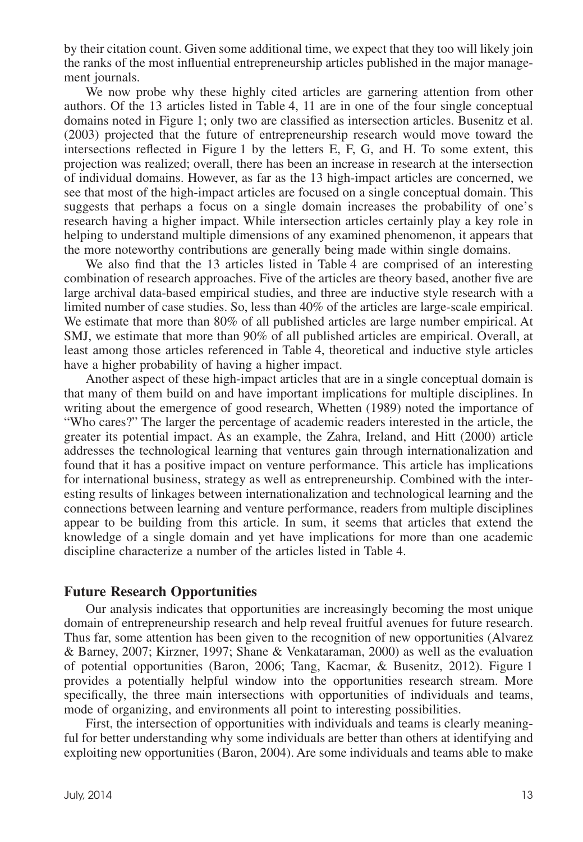by their citation count. Given some additional time, we expect that they too will likely join the ranks of the most influential entrepreneurship articles published in the major management journals.

We now probe why these highly cited articles are garnering attention from other authors. Of the 13 articles listed in Table 4, 11 are in one of the four single conceptual domains noted in Figure 1; only two are classified as intersection articles. Busenitz et al. (2003) projected that the future of entrepreneurship research would move toward the intersections reflected in Figure 1 by the letters E, F, G, and H. To some extent, this projection was realized; overall, there has been an increase in research at the intersection of individual domains. However, as far as the 13 high-impact articles are concerned, we see that most of the high-impact articles are focused on a single conceptual domain. This suggests that perhaps a focus on a single domain increases the probability of one's research having a higher impact. While intersection articles certainly play a key role in helping to understand multiple dimensions of any examined phenomenon, it appears that the more noteworthy contributions are generally being made within single domains.

We also find that the 13 articles listed in Table 4 are comprised of an interesting combination of research approaches. Five of the articles are theory based, another five are large archival data-based empirical studies, and three are inductive style research with a limited number of case studies. So, less than 40% of the articles are large-scale empirical. We estimate that more than 80% of all published articles are large number empirical. At SMJ, we estimate that more than 90% of all published articles are empirical. Overall, at least among those articles referenced in Table 4, theoretical and inductive style articles have a higher probability of having a higher impact.

Another aspect of these high-impact articles that are in a single conceptual domain is that many of them build on and have important implications for multiple disciplines. In writing about the emergence of good research, Whetten (1989) noted the importance of "Who cares?" The larger the percentage of academic readers interested in the article, the greater its potential impact. As an example, the Zahra, Ireland, and Hitt (2000) article addresses the technological learning that ventures gain through internationalization and found that it has a positive impact on venture performance. This article has implications for international business, strategy as well as entrepreneurship. Combined with the interesting results of linkages between internationalization and technological learning and the connections between learning and venture performance, readers from multiple disciplines appear to be building from this article. In sum, it seems that articles that extend the knowledge of a single domain and yet have implications for more than one academic discipline characterize a number of the articles listed in Table 4.

#### **Future Research Opportunities**

Our analysis indicates that opportunities are increasingly becoming the most unique domain of entrepreneurship research and help reveal fruitful avenues for future research. Thus far, some attention has been given to the recognition of new opportunities (Alvarez & Barney, 2007; Kirzner, 1997; Shane & Venkataraman, 2000) as well as the evaluation of potential opportunities (Baron, 2006; Tang, Kacmar, & Busenitz, 2012). Figure 1 provides a potentially helpful window into the opportunities research stream. More specifically, the three main intersections with opportunities of individuals and teams, mode of organizing, and environments all point to interesting possibilities.

First, the intersection of opportunities with individuals and teams is clearly meaningful for better understanding why some individuals are better than others at identifying and exploiting new opportunities (Baron, 2004). Are some individuals and teams able to make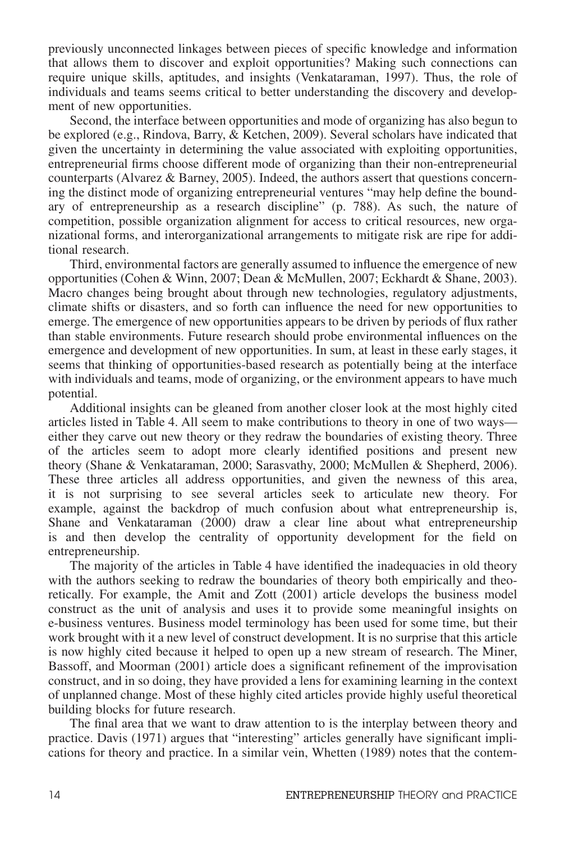previously unconnected linkages between pieces of specific knowledge and information that allows them to discover and exploit opportunities? Making such connections can require unique skills, aptitudes, and insights (Venkataraman, 1997). Thus, the role of individuals and teams seems critical to better understanding the discovery and development of new opportunities.

Second, the interface between opportunities and mode of organizing has also begun to be explored (e.g., Rindova, Barry, & Ketchen, 2009). Several scholars have indicated that given the uncertainty in determining the value associated with exploiting opportunities, entrepreneurial firms choose different mode of organizing than their non-entrepreneurial counterparts (Alvarez & Barney, 2005). Indeed, the authors assert that questions concerning the distinct mode of organizing entrepreneurial ventures "may help define the boundary of entrepreneurship as a research discipline" (p. 788). As such, the nature of competition, possible organization alignment for access to critical resources, new organizational forms, and interorganizational arrangements to mitigate risk are ripe for additional research.

Third, environmental factors are generally assumed to influence the emergence of new opportunities (Cohen & Winn, 2007; Dean & McMullen, 2007; Eckhardt & Shane, 2003). Macro changes being brought about through new technologies, regulatory adjustments, climate shifts or disasters, and so forth can influence the need for new opportunities to emerge. The emergence of new opportunities appears to be driven by periods of flux rather than stable environments. Future research should probe environmental influences on the emergence and development of new opportunities. In sum, at least in these early stages, it seems that thinking of opportunities-based research as potentially being at the interface with individuals and teams, mode of organizing, or the environment appears to have much potential.

Additional insights can be gleaned from another closer look at the most highly cited articles listed in Table 4. All seem to make contributions to theory in one of two ways either they carve out new theory or they redraw the boundaries of existing theory. Three of the articles seem to adopt more clearly identified positions and present new theory (Shane & Venkataraman, 2000; Sarasvathy, 2000; McMullen & Shepherd, 2006). These three articles all address opportunities, and given the newness of this area, it is not surprising to see several articles seek to articulate new theory. For example, against the backdrop of much confusion about what entrepreneurship is, Shane and Venkataraman (2000) draw a clear line about what entrepreneurship is and then develop the centrality of opportunity development for the field on entrepreneurship.

The majority of the articles in Table 4 have identified the inadequacies in old theory with the authors seeking to redraw the boundaries of theory both empirically and theoretically. For example, the Amit and Zott (2001) article develops the business model construct as the unit of analysis and uses it to provide some meaningful insights on e-business ventures. Business model terminology has been used for some time, but their work brought with it a new level of construct development. It is no surprise that this article is now highly cited because it helped to open up a new stream of research. The Miner, Bassoff, and Moorman (2001) article does a significant refinement of the improvisation construct, and in so doing, they have provided a lens for examining learning in the context of unplanned change. Most of these highly cited articles provide highly useful theoretical building blocks for future research.

The final area that we want to draw attention to is the interplay between theory and practice. Davis (1971) argues that "interesting" articles generally have significant implications for theory and practice. In a similar vein, Whetten (1989) notes that the contem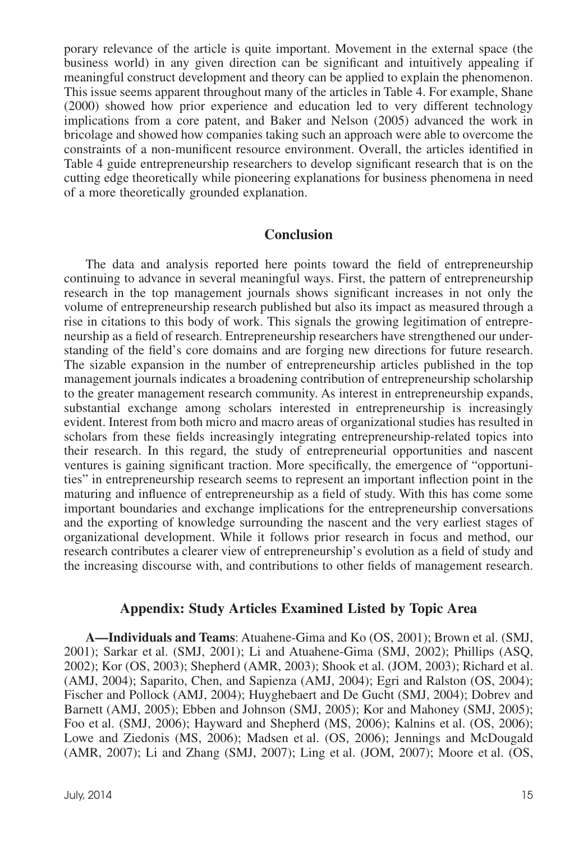porary relevance of the article is quite important. Movement in the external space (the business world) in any given direction can be significant and intuitively appealing if meaningful construct development and theory can be applied to explain the phenomenon. This issue seems apparent throughout many of the articles in Table 4. For example, Shane (2000) showed how prior experience and education led to very different technology implications from a core patent, and Baker and Nelson (2005) advanced the work in bricolage and showed how companies taking such an approach were able to overcome the constraints of a non-munificent resource environment. Overall, the articles identified in Table 4 guide entrepreneurship researchers to develop significant research that is on the cutting edge theoretically while pioneering explanations for business phenomena in need of a more theoretically grounded explanation.

#### **Conclusion**

The data and analysis reported here points toward the field of entrepreneurship continuing to advance in several meaningful ways. First, the pattern of entrepreneurship research in the top management journals shows significant increases in not only the volume of entrepreneurship research published but also its impact as measured through a rise in citations to this body of work. This signals the growing legitimation of entrepreneurship as a field of research. Entrepreneurship researchers have strengthened our understanding of the field's core domains and are forging new directions for future research. The sizable expansion in the number of entrepreneurship articles published in the top management journals indicates a broadening contribution of entrepreneurship scholarship to the greater management research community. As interest in entrepreneurship expands, substantial exchange among scholars interested in entrepreneurship is increasingly evident. Interest from both micro and macro areas of organizational studies has resulted in scholars from these fields increasingly integrating entrepreneurship-related topics into their research. In this regard, the study of entrepreneurial opportunities and nascent ventures is gaining significant traction. More specifically, the emergence of "opportunities" in entrepreneurship research seems to represent an important inflection point in the maturing and influence of entrepreneurship as a field of study. With this has come some important boundaries and exchange implications for the entrepreneurship conversations and the exporting of knowledge surrounding the nascent and the very earliest stages of organizational development. While it follows prior research in focus and method, our research contributes a clearer view of entrepreneurship's evolution as a field of study and the increasing discourse with, and contributions to other fields of management research.

## **Appendix: Study Articles Examined Listed by Topic Area**

**A—Individuals and Teams**: Atuahene-Gima and Ko (OS, 2001); Brown et al. (SMJ, 2001); Sarkar et al. (SMJ, 2001); Li and Atuahene-Gima (SMJ, 2002); Phillips (ASQ, 2002); Kor (OS, 2003); Shepherd (AMR, 2003); Shook et al. (JOM, 2003); Richard et al. (AMJ, 2004); Saparito, Chen, and Sapienza (AMJ, 2004); Egri and Ralston (OS, 2004); Fischer and Pollock (AMJ, 2004); Huyghebaert and De Gucht (SMJ, 2004); Dobrev and Barnett (AMJ, 2005); Ebben and Johnson (SMJ, 2005); Kor and Mahoney (SMJ, 2005); Foo et al. (SMJ, 2006); Hayward and Shepherd (MS, 2006); Kalnins et al. (OS, 2006); Lowe and Ziedonis (MS, 2006); Madsen et al. (OS, 2006); Jennings and McDougald (AMR, 2007); Li and Zhang (SMJ, 2007); Ling et al. (JOM, 2007); Moore et al. (OS,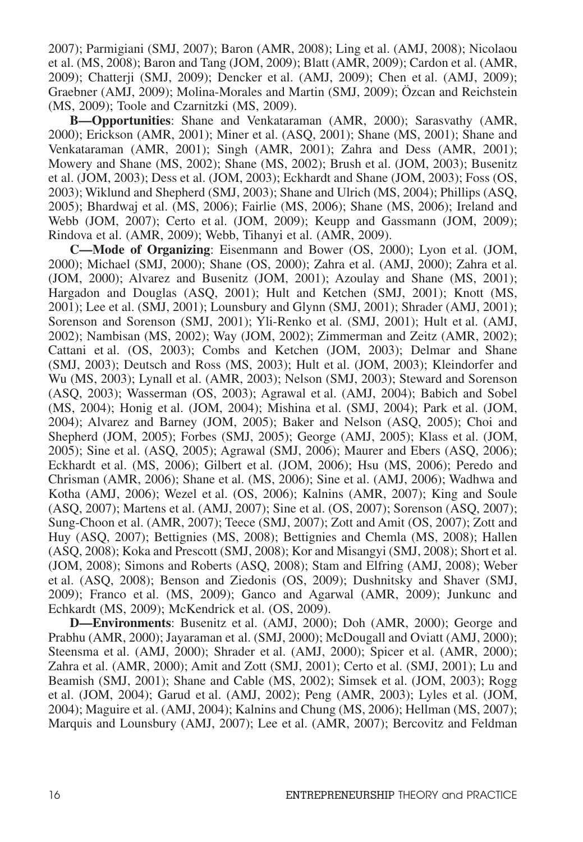2007); Parmigiani (SMJ, 2007); Baron (AMR, 2008); Ling et al. (AMJ, 2008); Nicolaou et al. (MS, 2008); Baron and Tang (JOM, 2009); Blatt (AMR, 2009); Cardon et al. (AMR, 2009); Chatterji (SMJ, 2009); Dencker et al. (AMJ, 2009); Chen et al. (AMJ, 2009); Graebner (AMJ, 2009); Molina-Morales and Martin (SMJ, 2009); Özcan and Reichstein (MS, 2009); Toole and Czarnitzki (MS, 2009).

**B—Opportunities**: Shane and Venkataraman (AMR, 2000); Sarasvathy (AMR, 2000); Erickson (AMR, 2001); Miner et al. (ASQ, 2001); Shane (MS, 2001); Shane and Venkataraman (AMR, 2001); Singh (AMR, 2001); Zahra and Dess (AMR, 2001); Mowery and Shane (MS, 2002); Shane (MS, 2002); Brush et al. (JOM, 2003); Busenitz et al. (JOM, 2003); Dess et al. (JOM, 2003); Eckhardt and Shane (JOM, 2003); Foss (OS, 2003); Wiklund and Shepherd (SMJ, 2003); Shane and Ulrich (MS, 2004); Phillips (ASQ, 2005); Bhardwaj et al. (MS, 2006); Fairlie (MS, 2006); Shane (MS, 2006); Ireland and Webb (JOM, 2007); Certo et al. (JOM, 2009); Keupp and Gassmann (JOM, 2009); Rindova et al. (AMR, 2009); Webb, Tihanyi et al. (AMR, 2009).

**C—Mode of Organizing**: Eisenmann and Bower (OS, 2000); Lyon et al. (JOM, 2000); Michael (SMJ, 2000); Shane (OS, 2000); Zahra et al. (AMJ, 2000); Zahra et al. (JOM, 2000); Alvarez and Busenitz (JOM, 2001); Azoulay and Shane (MS, 2001); Hargadon and Douglas (ASQ, 2001); Hult and Ketchen (SMJ, 2001); Knott (MS, 2001); Lee et al. (SMJ, 2001); Lounsbury and Glynn (SMJ, 2001); Shrader (AMJ, 2001); Sorenson and Sorenson (SMJ, 2001); Yli-Renko et al. (SMJ, 2001); Hult et al. (AMJ, 2002); Nambisan (MS, 2002); Way (JOM, 2002); Zimmerman and Zeitz (AMR, 2002); Cattani et al. (OS, 2003); Combs and Ketchen (JOM, 2003); Delmar and Shane (SMJ, 2003); Deutsch and Ross (MS, 2003); Hult et al. (JOM, 2003); Kleindorfer and Wu (MS, 2003); Lynall et al. (AMR, 2003); Nelson (SMJ, 2003); Steward and Sorenson (ASQ, 2003); Wasserman (OS, 2003); Agrawal et al. (AMJ, 2004); Babich and Sobel (MS, 2004); Honig et al. (JOM, 2004); Mishina et al. (SMJ, 2004); Park et al. (JOM, 2004); Alvarez and Barney (JOM, 2005); Baker and Nelson (ASQ, 2005); Choi and Shepherd (JOM, 2005); Forbes (SMJ, 2005); George (AMJ, 2005); Klass et al. (JOM, 2005); Sine et al. (ASQ, 2005); Agrawal (SMJ, 2006); Maurer and Ebers (ASQ, 2006); Eckhardt et al. (MS, 2006); Gilbert et al. (JOM, 2006); Hsu (MS, 2006); Peredo and Chrisman (AMR, 2006); Shane et al. (MS, 2006); Sine et al. (AMJ, 2006); Wadhwa and Kotha (AMJ, 2006); Wezel et al. (OS, 2006); Kalnins (AMR, 2007); King and Soule (ASQ, 2007); Martens et al. (AMJ, 2007); Sine et al. (OS, 2007); Sorenson (ASQ, 2007); Sung-Choon et al. (AMR, 2007); Teece (SMJ, 2007); Zott and Amit (OS, 2007); Zott and Huy (ASQ, 2007); Bettignies (MS, 2008); Bettignies and Chemla (MS, 2008); Hallen (ASQ, 2008); Koka and Prescott (SMJ, 2008); Kor and Misangyi (SMJ, 2008); Short et al. (JOM, 2008); Simons and Roberts (ASQ, 2008); Stam and Elfring (AMJ, 2008); Weber et al. (ASQ, 2008); Benson and Ziedonis (OS, 2009); Dushnitsky and Shaver (SMJ, 2009); Franco et al. (MS, 2009); Ganco and Agarwal (AMR, 2009); Junkunc and Echkardt (MS, 2009); McKendrick et al. (OS, 2009).

**D—Environments**: Busenitz et al. (AMJ, 2000); Doh (AMR, 2000); George and Prabhu (AMR, 2000); Jayaraman et al. (SMJ, 2000); McDougall and Oviatt (AMJ, 2000); Steensma et al. (AMJ, 2000); Shrader et al. (AMJ, 2000); Spicer et al. (AMR, 2000); Zahra et al. (AMR, 2000); Amit and Zott (SMJ, 2001); Certo et al. (SMJ, 2001); Lu and Beamish (SMJ, 2001); Shane and Cable (MS, 2002); Simsek et al. (JOM, 2003); Rogg et al. (JOM, 2004); Garud et al. (AMJ, 2002); Peng (AMR, 2003); Lyles et al. (JOM, 2004); Maguire et al. (AMJ, 2004); Kalnins and Chung (MS, 2006); Hellman (MS, 2007); Marquis and Lounsbury (AMJ, 2007); Lee et al. (AMR, 2007); Bercovitz and Feldman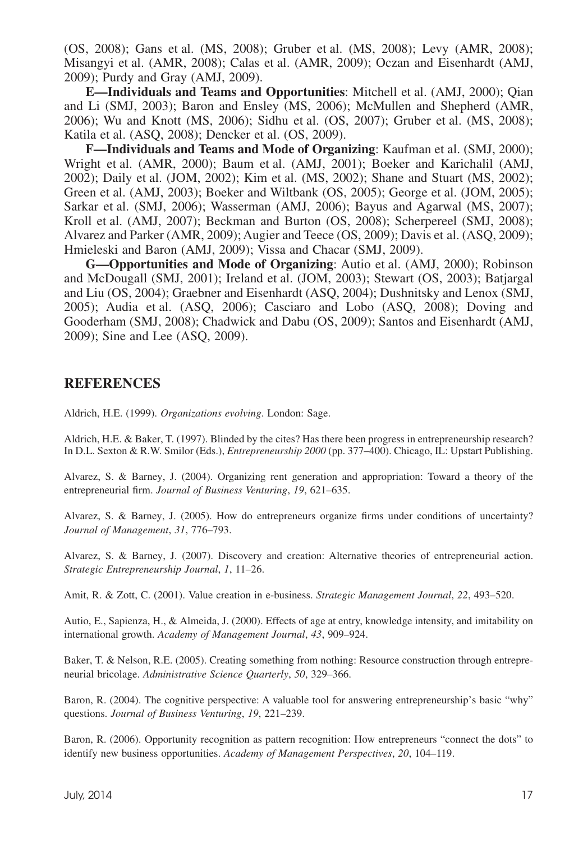(OS, 2008); Gans et al. (MS, 2008); Gruber et al. (MS, 2008); Levy (AMR, 2008); Misangyi et al. (AMR, 2008); Calas et al. (AMR, 2009); Oczan and Eisenhardt (AMJ, 2009); Purdy and Gray (AMJ, 2009).

**E—Individuals and Teams and Opportunities**: Mitchell et al. (AMJ, 2000); Qian and Li (SMJ, 2003); Baron and Ensley (MS, 2006); McMullen and Shepherd (AMR, 2006); Wu and Knott (MS, 2006); Sidhu et al. (OS, 2007); Gruber et al. (MS, 2008); Katila et al. (ASQ, 2008); Dencker et al. (OS, 2009).

**F—Individuals and Teams and Mode of Organizing**: Kaufman et al. (SMJ, 2000); Wright et al. (AMR, 2000); Baum et al. (AMJ, 2001); Boeker and Karichalil (AMJ, 2002); Daily et al. (JOM, 2002); Kim et al. (MS, 2002); Shane and Stuart (MS, 2002); Green et al. (AMJ, 2003); Boeker and Wiltbank (OS, 2005); George et al. (JOM, 2005); Sarkar et al. (SMJ, 2006); Wasserman (AMJ, 2006); Bayus and Agarwal (MS, 2007); Kroll et al. (AMJ, 2007); Beckman and Burton (OS, 2008); Scherpereel (SMJ, 2008); Alvarez and Parker (AMR, 2009); Augier and Teece (OS, 2009); Davis et al. (ASQ, 2009); Hmieleski and Baron (AMJ, 2009); Vissa and Chacar (SMJ, 2009).

**G—Opportunities and Mode of Organizing**: Autio et al. (AMJ, 2000); Robinson and McDougall (SMJ, 2001); Ireland et al. (JOM, 2003); Stewart (OS, 2003); Batjargal and Liu (OS, 2004); Graebner and Eisenhardt (ASQ, 2004); Dushnitsky and Lenox (SMJ, 2005); Audia et al. (ASQ, 2006); Casciaro and Lobo (ASQ, 2008); Doving and Gooderham (SMJ, 2008); Chadwick and Dabu (OS, 2009); Santos and Eisenhardt (AMJ, 2009); Sine and Lee (ASQ, 2009).

## **REFERENCES**

Aldrich, H.E. (1999). *Organizations evolving*. London: Sage.

Aldrich, H.E. & Baker, T. (1997). Blinded by the cites? Has there been progress in entrepreneurship research? In D.L. Sexton & R.W. Smilor (Eds.), *Entrepreneurship 2000* (pp. 377–400). Chicago, IL: Upstart Publishing.

Alvarez, S. & Barney, J. (2004). Organizing rent generation and appropriation: Toward a theory of the entrepreneurial firm. *Journal of Business Venturing*, *19*, 621–635.

Alvarez, S. & Barney, J. (2005). How do entrepreneurs organize firms under conditions of uncertainty? *Journal of Management*, *31*, 776–793.

Alvarez, S. & Barney, J. (2007). Discovery and creation: Alternative theories of entrepreneurial action. *Strategic Entrepreneurship Journal*, *1*, 11–26.

Amit, R. & Zott, C. (2001). Value creation in e-business. *Strategic Management Journal*, *22*, 493–520.

Autio, E., Sapienza, H., & Almeida, J. (2000). Effects of age at entry, knowledge intensity, and imitability on international growth. *Academy of Management Journal*, *43*, 909–924.

Baker, T. & Nelson, R.E. (2005). Creating something from nothing: Resource construction through entrepreneurial bricolage. *Administrative Science Quarterly*, *50*, 329–366.

Baron, R. (2004). The cognitive perspective: A valuable tool for answering entrepreneurship's basic "why" questions. *Journal of Business Venturing*, *19*, 221–239.

Baron, R. (2006). Opportunity recognition as pattern recognition: How entrepreneurs "connect the dots" to identify new business opportunities. *Academy of Management Perspectives*, *20*, 104–119.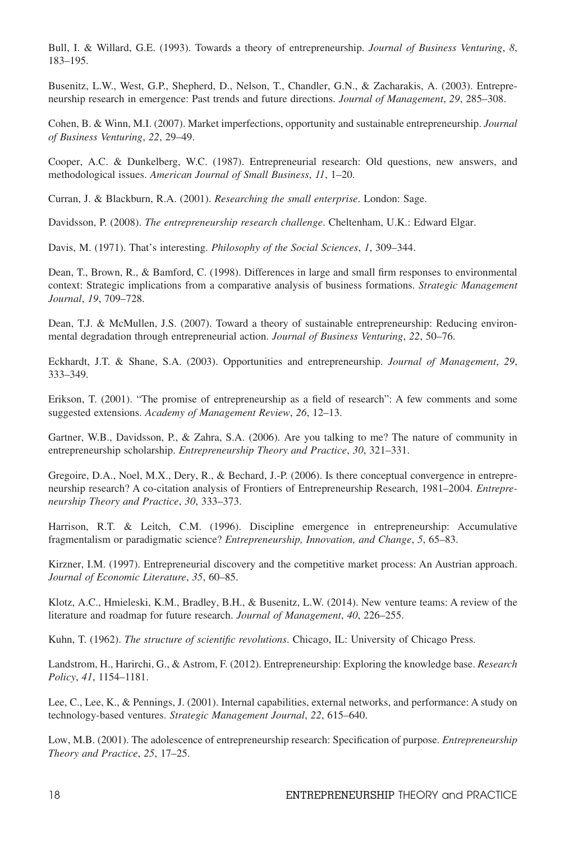Bull, I. & Willard, G.E. (1993). Towards a theory of entrepreneurship. *Journal of Business Venturing*, *8*, 183–195.

Busenitz, L.W., West, G.P., Shepherd, D., Nelson, T., Chandler, G.N., & Zacharakis, A. (2003). Entrepreneurship research in emergence: Past trends and future directions. *Journal of Management*, *29*, 285–308.

Cohen, B. & Winn, M.I. (2007). Market imperfections, opportunity and sustainable entrepreneurship. *Journal of Business Venturing*, *22*, 29–49.

Cooper, A.C. & Dunkelberg, W.C. (1987). Entrepreneurial research: Old questions, new answers, and methodological issues. *American Journal of Small Business*, *11*, 1–20.

Curran, J. & Blackburn, R.A. (2001). *Researching the small enterprise*. London: Sage.

Davidsson, P. (2008). *The entrepreneurship research challenge*. Cheltenham, U.K.: Edward Elgar.

Davis, M. (1971). That's interesting. *Philosophy of the Social Sciences*, *1*, 309–344.

Dean, T., Brown, R., & Bamford, C. (1998). Differences in large and small firm responses to environmental context: Strategic implications from a comparative analysis of business formations. *Strategic Management Journal*, *19*, 709–728.

Dean, T.J. & McMullen, J.S. (2007). Toward a theory of sustainable entrepreneurship: Reducing environmental degradation through entrepreneurial action. *Journal of Business Venturing*, *22*, 50–76.

Eckhardt, J.T. & Shane, S.A. (2003). Opportunities and entrepreneurship. *Journal of Management*, *29*, 333–349.

Erikson, T. (2001). "The promise of entrepreneurship as a field of research": A few comments and some suggested extensions. *Academy of Management Review*, *26*, 12–13.

Gartner, W.B., Davidsson, P., & Zahra, S.A. (2006). Are you talking to me? The nature of community in entrepreneurship scholarship. *Entrepreneurship Theory and Practice*, *30*, 321–331.

Gregoire, D.A., Noel, M.X., Dery, R., & Bechard, J.-P. (2006). Is there conceptual convergence in entrepreneurship research? A co-citation analysis of Frontiers of Entrepreneurship Research, 1981–2004. *Entrepreneurship Theory and Practice*, *30*, 333–373.

Harrison, R.T. & Leitch, C.M. (1996). Discipline emergence in entrepreneurship: Accumulative fragmentalism or paradigmatic science? *Entrepreneurship, Innovation, and Change*, *5*, 65–83.

Kirzner, I.M. (1997). Entrepreneurial discovery and the competitive market process: An Austrian approach. *Journal of Economic Literature*, *35*, 60–85.

Klotz, A.C., Hmieleski, K.M., Bradley, B.H., & Busenitz, L.W. (2014). New venture teams: A review of the literature and roadmap for future research. *Journal of Management*, *40*, 226–255.

Kuhn, T. (1962). *The structure of scientific revolutions*. Chicago, IL: University of Chicago Press.

Landstrom, H., Harirchi, G., & Astrom, F. (2012). Entrepreneurship: Exploring the knowledge base. *Research Policy*, *41*, 1154–1181.

Lee, C., Lee, K., & Pennings, J. (2001). Internal capabilities, external networks, and performance: A study on technology-based ventures. *Strategic Management Journal*, *22*, 615–640.

Low, M.B. (2001). The adolescence of entrepreneurship research: Specification of purpose. *Entrepreneurship Theory and Practice*, *25*, 17–25.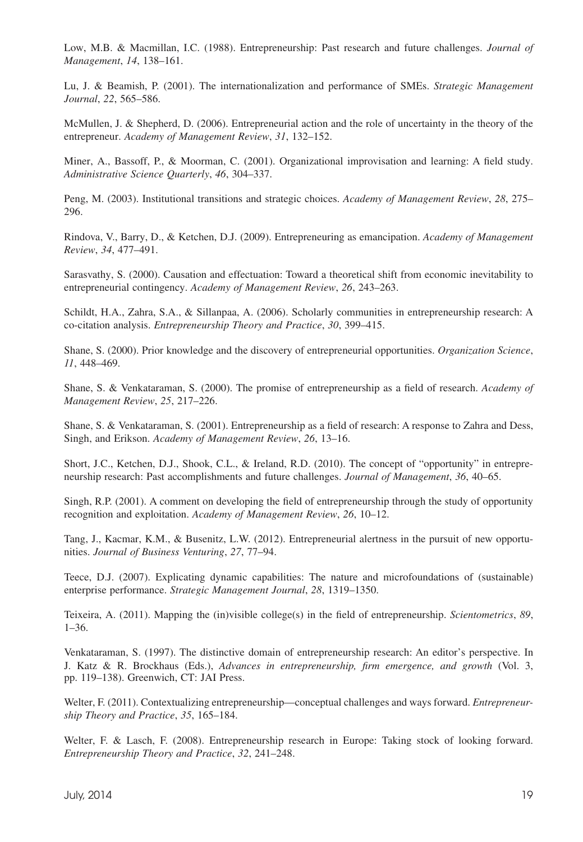Low, M.B. & Macmillan, I.C. (1988). Entrepreneurship: Past research and future challenges. *Journal of Management*, *14*, 138–161.

Lu, J. & Beamish, P. (2001). The internationalization and performance of SMEs. *Strategic Management Journal*, *22*, 565–586.

McMullen, J. & Shepherd, D. (2006). Entrepreneurial action and the role of uncertainty in the theory of the entrepreneur. *Academy of Management Review*, *31*, 132–152.

Miner, A., Bassoff, P., & Moorman, C. (2001). Organizational improvisation and learning: A field study. *Administrative Science Quarterly*, *46*, 304–337.

Peng, M. (2003). Institutional transitions and strategic choices. *Academy of Management Review*, *28*, 275– 296.

Rindova, V., Barry, D., & Ketchen, D.J. (2009). Entrepreneuring as emancipation. *Academy of Management Review*, *34*, 477–491.

Sarasvathy, S. (2000). Causation and effectuation: Toward a theoretical shift from economic inevitability to entrepreneurial contingency. *Academy of Management Review*, *26*, 243–263.

Schildt, H.A., Zahra, S.A., & Sillanpaa, A. (2006). Scholarly communities in entrepreneurship research: A co-citation analysis. *Entrepreneurship Theory and Practice*, *30*, 399–415.

Shane, S. (2000). Prior knowledge and the discovery of entrepreneurial opportunities. *Organization Science*, *11*, 448–469.

Shane, S. & Venkataraman, S. (2000). The promise of entrepreneurship as a field of research. *Academy of Management Review*, *25*, 217–226.

Shane, S. & Venkataraman, S. (2001). Entrepreneurship as a field of research: A response to Zahra and Dess, Singh, and Erikson. *Academy of Management Review*, *26*, 13–16.

Short, J.C., Ketchen, D.J., Shook, C.L., & Ireland, R.D. (2010). The concept of "opportunity" in entrepreneurship research: Past accomplishments and future challenges. *Journal of Management*, *36*, 40–65.

Singh, R.P. (2001). A comment on developing the field of entrepreneurship through the study of opportunity recognition and exploitation. *Academy of Management Review*, *26*, 10–12.

Tang, J., Kacmar, K.M., & Busenitz, L.W. (2012). Entrepreneurial alertness in the pursuit of new opportunities. *Journal of Business Venturing*, *27*, 77–94.

Teece, D.J. (2007). Explicating dynamic capabilities: The nature and microfoundations of (sustainable) enterprise performance. *Strategic Management Journal*, *28*, 1319–1350.

Teixeira, A. (2011). Mapping the (in)visible college(s) in the field of entrepreneurship. *Scientometrics*, *89*, 1–36.

Venkataraman, S. (1997). The distinctive domain of entrepreneurship research: An editor's perspective. In J. Katz & R. Brockhaus (Eds.), *Advances in entrepreneurship, firm emergence, and growth* (Vol. 3, pp. 119–138). Greenwich, CT: JAI Press.

Welter, F. (2011). Contextualizing entrepreneurship—conceptual challenges and ways forward. *Entrepreneurship Theory and Practice*, *35*, 165–184.

Welter, F. & Lasch, F. (2008). Entrepreneurship research in Europe: Taking stock of looking forward. *Entrepreneurship Theory and Practice*, *32*, 241–248.